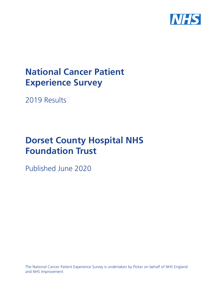

# **National Cancer Patient Experience Survey**

2019 Results

# **Dorset County Hospital NHS Foundation Trust**

Published June 2020

The National Cancer Patient Experience Survey is undertaken by Picker on behalf of NHS England and NHS Improvement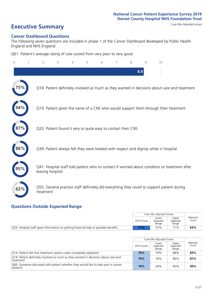# **Executive Summary** Case Mix Adjusted scores

#### **Cancer Dashboard Questions**

The following seven questions are included in phase 1 of the Cancer Dashboard developed by Public Health England and NHS England:

Q61. Patient's average rating of care scored from very poor to very good

| $\Omega$ | $\overline{2}$   | 3                                                             | 4 | 5 | 6 | 7 | 8   | 9 | 10                                                                                            |
|----------|------------------|---------------------------------------------------------------|---|---|---|---|-----|---|-----------------------------------------------------------------------------------------------|
|          |                  |                                                               |   |   |   |   | 8.9 |   |                                                                                               |
|          |                  |                                                               |   |   |   |   |     |   | Q18. Patient definitely involved as much as they wanted in decisions about care and treatment |
|          |                  |                                                               |   |   |   |   |     |   | Q19. Patient given the name of a CNS who would support them through their treatment           |
|          |                  | Q20. Patient found it very or quite easy to contact their CNS |   |   |   |   |     |   |                                                                                               |
| 86%      |                  |                                                               |   |   |   |   |     |   | Q39. Patient always felt they were treated with respect and dignity while in hospital         |
|          | leaving hospital |                                                               |   |   |   |   |     |   | Q41. Hospital staff told patient who to contact if worried about condition or treatment after |
| 62%      | treatment        |                                                               |   |   |   |   |     |   | Q55. General practice staff definitely did everything they could to support patient during    |

### **Questions Outside Expected Range**

|                                                                                     |            | Case Mix Adjusted Scores   |                            |                   |
|-------------------------------------------------------------------------------------|------------|----------------------------|----------------------------|-------------------|
|                                                                                     | 2019 Score | Lower<br>Expected<br>Range | Upper<br>Expected<br>Range | National<br>Score |
| Q24. Hospital staff gave information on getting financial help or possible benefits | <b>71%</b> | 55%                        | 71%                        | 63%               |

|                                                                                                  |            | Case Mix Adjusted Scores   |                            |                   |
|--------------------------------------------------------------------------------------------------|------------|----------------------------|----------------------------|-------------------|
|                                                                                                  | 2019 Score | Lower<br>Expected<br>Range | Upper<br>Expected<br>Range | National<br>Score |
| Q14. Patient felt that treatment options were completely explained                               | 75%        | 79%                        | 88%                        | 83%               |
| Q18. Patient definitely involved as much as they wanted in decisions about care and<br>treatment | 75%        | 76%                        | 86%                        | 81%               |
| Q60. Someone discussed with patient whether they would like to take part in cancer<br>research   | 19%        | 20%                        | 40%                        | 30%               |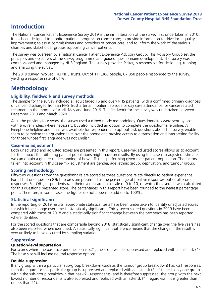## **Introduction**

The National Cancer Patient Experience Survey 2019 is the ninth iteration of the survey first undertaken in 2010. It has been designed to monitor national progress on cancer care; to provide information to drive local quality improvements; to assist commissioners and providers of cancer care; and to inform the work of the various charities and stakeholder groups supporting cancer patients.

The survey was overseen by a national Cancer Patient Experience Advisory Group. This Advisory Group set the principles and objectives of the survey programme and guided questionnaire development. The survey was commissioned and managed by NHS England. The survey provider, Picker, is responsible for designing, running and analysing the survey.

The 2019 survey involved 143 NHS Trusts. Out of 111,366 people, 67,858 people responded to the survey, yielding a response rate of 61%.

# **Methodology**

#### **Eligibility, eldwork and survey methods**

The sample for the survey included all adult (aged 16 and over) NHS patients, with a confirmed primary diagnosis of cancer, discharged from an NHS Trust after an inpatient episode or day case attendance for cancer related treatment in the months of April, May and June 2019. The fieldwork for the survey was undertaken between December 2019 and March 2020.

As in the previous four years, the survey used a mixed mode methodology. Questionnaires were sent by post, with two reminders where necessary, but also included an option to complete the questionnaire online. A Freephone helpline and email was available for respondents to opt out, ask questions about the survey, enable them to complete their questionnaire over the phone and provide access to a translation and interpreting facility for those whose first language was not English.

#### **Case-mix adjustment**

Both unadjusted and adjusted scores are presented in this report. Case-mix adjusted scores allows us to account for the impact that differing patient populations might have on results. By using the case-mix adjusted estimates we can obtain a greater understanding of how a Trust is performing given their patient population. The factors taken into account in this case-mix adjustment are gender, age, ethnic group, deprivation, and tumour group.

#### **Scoring methodology**

Fifty-two questions from the questionnaire are scored as these questions relate directly to patient experience. For all but one question (Q61), scores are presented as the percentage of positive responses out of all scored responses. For Q61, respondents rate their overall care on a scale of 0 to 10, of which the average was calculated for this question's presented score. The percentages in this report have been rounded to the nearest percentage point. Therefore, in some cases the figures do not appear to add up to 100%.

#### **Statistical significance**

In the reporting of 2019 results, appropriate statistical tests have been undertaken to identify unadjusted scores for which the change over time is 'statistically significant'. Thirty-seven scored questions in 2019 have been compared with those of 2018 and a statistically significant change between the two years has been reported where identified.

For the scored questions that are comparable beyond 2018, statistically significant change over the five years has also been reported where identified. A statistically significant difference means that the change in the result is very unlikely to have occurred by sampling variation.

#### **Suppression**

#### **Question-level suppression**

For scores where the base size per question is  $<$ 21, the score will be suppressed and replaced with an asterisk (\*). The base size will include neutral response options.

#### **Double suppression**

If any group within a particular sub-group breakdown (such as the tumour group breakdown) has <21 responses, then the figure for this particular group is suppressed and replaced with an asterisk (\*). If there is only one group within the sub-group breakdown that has <21 respondents, and is therefore suppressed, the group with the next lowest number of respondents is also supressed and replaced with an asterisk (\*) (regardless if it is greater than or less than 21).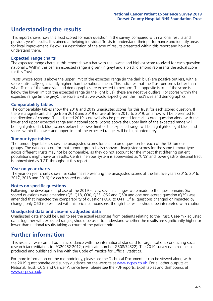## **Understanding the results**

This report shows how this Trust scored for each question in the survey, compared with national results and previous year's results. It is aimed at helping individual Trusts to understand their performance and identify areas for local improvement. Below is a description of the type of results presented within this report and how to understand them.

#### **Expected range charts**

The expected range charts in this report show a bar with the lowest and highest score received for each question nationally. Within this bar, an expected range is given (in grey) and a black diamond represents the actual score for this Trust.

Trusts whose score is above the upper limit of the expected range (in the dark blue) are positive outliers, with a score statistically significantly higher than the national mean. This indicates that the Trust performs better than what Trusts of the same size and demographics are expected to perform. The opposite is true if the score is below the lower limit of the expected range (in the light blue); these are negative outliers. For scores within the expected range (in the grey), the score is what we would expect given the Trust's size and demographics.

#### **Comparability tables**

The comparability tables show the 2018 and 2019 unadjusted scores for this Trust for each scored question. If there is a significant change from 2018 and 2019 or overall from 2015 to 2019, an arrow will be presented for the direction of change. The adjusted 2019 score will also be presented for each scored question along with the lower and upper expected range and national score. Scores above the upper limit of the expected range will be highlighted dark blue, scores below the lower limit of the expected range will be highlighted light blue, and scores within the lower and upper limit of the expected ranges will be highlighted grey.

#### **Tumour type tables**

The tumour type tables show the unadjusted scores for each scored question for each of the 13 tumour groups. The national score for that tumour group is also shown. Unadjusted scores for the same tumour type across different Trusts may not be comparable, as they do not account for the impact that differing patient populations might have on results. Central nervous system is abbreviated as 'CNS' and lower gastrointestinal tract is abbreviated as 'LGT' throughout this report.

#### **Year on year charts**

The year on year charts show five columns representing the unadjusted scores of the last five years (2015, 2016, 2017, 2018 and 2019) for each scored question.

#### **Notes on specific questions**

Following the development phase of the 2019 survey, several changes were made to the questionnaire. Six scored questions were amended (Q5, Q18, Q30, Q35, Q56 and Q60) and one non-scored question (Q29) was amended that impacted the comparability of questions Q30 to Q41. Of all questions changed or impacted by change, only Q60 is presented with historical comparisons; though the results should be interpreted with caution.

#### **Unadjusted data and case-mix adjusted data**

Unadjusted data should be used to see the actual responses from patients relating to the Trust. Case-mix adjusted data, together with expected ranges, should be used to understand whether the results are significantly higher or lower than national results taking account of the patient mix.

### **Further information**

This research was carried out in accordance with the international standard for organisations conducting social research (accreditation to ISO20252:2012; certificate number GB08/74322). The 2019 survey data has been produced and published in line with the Code of Practice for Official Statistics.

For more information on the methodology, please see the Technical Document. It can be viewed along with the 2019 questionnaire and survey quidance on the website at [www.ncpes.co.uk](https://www.ncpes.co.uk/supporting-documents). For all other outputs at National, Trust, CCG and Cancer Alliance level, please see the PDF reports, Excel tables and dashboards at [www.ncpes.co.uk.](https://www.ncpes.co.uk/current-results)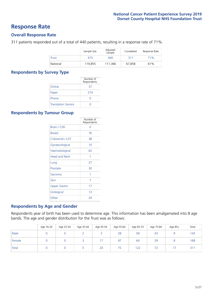### **Response Rate**

#### **Overall Response Rate**

311 patients responded out of a total of 440 patients, resulting in a response rate of 71%.

|              | Sample Size | Adjusted<br>Sample | Completed | Response Rate |
|--------------|-------------|--------------------|-----------|---------------|
| <b>Trust</b> | 473         | 440                | 311       | 71%           |
| National     | 119.855     | 111,366            | 67.858    | 61%           |

#### **Respondents by Survey Type**

|                            | Number of<br>Respondents |
|----------------------------|--------------------------|
| Online                     | 37                       |
| Paper                      | 274                      |
| Phone                      |                          |
| <b>Translation Service</b> |                          |

#### **Respondents by Tumour Group**

|                      | Number of<br>Respondents |
|----------------------|--------------------------|
| <b>Brain / CNS</b>   | ∩                        |
| <b>Breast</b>        | 76                       |
| Colorectal / LGT     | 38                       |
| Gynaecological       | 10                       |
| Haematological       | 62                       |
| <b>Head and Neck</b> | 1                        |
| Lung                 | 27                       |
| Prostate             | 30                       |
| Sarcoma              | 1                        |
| Skin                 | 7                        |
| <b>Upper Gastro</b>  | 17                       |
| Urological           | 1 <sub>3</sub>           |
| Other                | 29                       |

#### **Respondents by Age and Gender**

Respondents year of birth has been used to determine age. This information has been amalgamated into 8 age bands. The age and gender distribution for the Trust was as follows:

|        | Age 16-24 | Age 25-34 | Age 35-44 | Age 45-54 | Age 55-64 | Age 65-74 | Age 75-84                | Age 85+ | Total |
|--------|-----------|-----------|-----------|-----------|-----------|-----------|--------------------------|---------|-------|
| Male   |           |           |           |           | 28        | 58        | 43                       |         | 143   |
| Female |           |           |           | 17        | 47        | 64        | 29                       |         | 168   |
| Total  |           |           |           | 20        | 75        | 122       | $\overline{\phantom{a}}$ | 17      | 311   |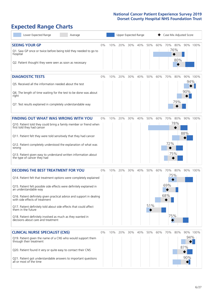# **Expected Range Charts**

| Lower Expected Range<br>Average                                                                                                                                                                                                                                                                                                                                                                                                                                                                                             |       |     | <b>Upper Expected Range</b> |     |     | Case Mix Adjusted Score |     |                                 |            |                                      |          |  |
|-----------------------------------------------------------------------------------------------------------------------------------------------------------------------------------------------------------------------------------------------------------------------------------------------------------------------------------------------------------------------------------------------------------------------------------------------------------------------------------------------------------------------------|-------|-----|-----------------------------|-----|-----|-------------------------|-----|---------------------------------|------------|--------------------------------------|----------|--|
| <b>SEEING YOUR GP</b><br>Q1. Saw GP once or twice before being told they needed to go to<br>hospital<br>Q2. Patient thought they were seen as soon as necessary                                                                                                                                                                                                                                                                                                                                                             | $0\%$ | 10% | 20%                         | 30% | 40% | 50%                     | 60% | 70%<br>76%                      | 80%<br>80% |                                      | 90% 100% |  |
| <b>DIAGNOSTIC TESTS</b><br>Q5. Received all the information needed about the test<br>Q6. The length of time waiting for the test to be done was about<br>right<br>Q7. Test results explained in completely understandable way                                                                                                                                                                                                                                                                                               | 0%    | 10% | 20%                         | 30% | 40% | 50%                     | 60% | 70%                             | 80%<br>79% | 94%<br>90%                           | 90% 100% |  |
| <b>FINDING OUT WHAT WAS WRONG WITH YOU</b><br>Q10. Patient told they could bring a family member or friend when<br>first told they had cancer<br>Q11. Patient felt they were told sensitively that they had cancer<br>Q12. Patient completely understood the explanation of what was<br>wrong<br>Q13. Patient given easy to understand written information about<br>the type of cancer they had                                                                                                                             | 0%    | 10% | 20%                         | 30% | 40% | 50%                     | 60% | 70%<br>72%<br>75%               | 80%<br>78% | 90% 100%<br>88%                      |          |  |
| <b>DECIDING THE BEST TREATMENT FOR YOU</b><br>Q14. Patient felt that treatment options were completely explained<br>Q15. Patient felt possible side effects were definitely explained in<br>an understandable way<br>Q16. Patient definitely given practical advice and support in dealing<br>with side effects of treatment<br>Q17. Patient definitely told about side effects that could affect<br>them in the future<br>Q18. Patient definitely involved as much as they wanted in<br>decisions about care and treatment | 0%    | 10% | 20%                         | 30% | 40% | 50%<br>51%              | 60% | 70%<br>75%<br>69%<br>68%<br>75% | 80%        |                                      | 90% 100% |  |
| <b>CLINICAL NURSE SPECIALIST (CNS)</b><br>Q19. Patient given the name of a CNS who would support them<br>through their treatment<br>Q20. Patient found it very or quite easy to contact their CNS<br>Q21. Patient got understandable answers to important questions<br>all or most of the time                                                                                                                                                                                                                              | 0%    | 10% | 20%                         | 30% | 40% | 50%                     | 60% | 70%                             | 80%        | 94%<br>87%<br>90%<br>$\blacklozenge$ | 90% 100% |  |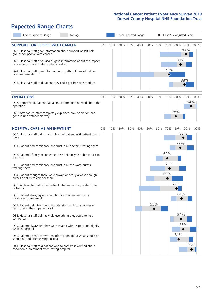# **Expected Range Charts**

| Lower Expected Range<br>Average                                                                                                                                                                                                                                                                                                                                                                                                                                                                                                                                                                                                                                                                                                                                                                                                                                                                                                                                                                                                                                                                                                                                                   |           |     | Upper Expected Range |            |                                        | Case Mix Adjusted Score                                                 |  |  |  |  |
|-----------------------------------------------------------------------------------------------------------------------------------------------------------------------------------------------------------------------------------------------------------------------------------------------------------------------------------------------------------------------------------------------------------------------------------------------------------------------------------------------------------------------------------------------------------------------------------------------------------------------------------------------------------------------------------------------------------------------------------------------------------------------------------------------------------------------------------------------------------------------------------------------------------------------------------------------------------------------------------------------------------------------------------------------------------------------------------------------------------------------------------------------------------------------------------|-----------|-----|----------------------|------------|----------------------------------------|-------------------------------------------------------------------------|--|--|--|--|
| <b>SUPPORT FOR PEOPLE WITH CANCER</b><br>Q22. Hospital staff gave information about support or self-help<br>groups for people with cancer<br>Q23. Hospital staff discussed or gave information about the impact<br>cancer could have on day to day activities<br>Q24. Hospital staff gave information on getting financial help or<br>possible benefits<br>Q25. Hospital staff told patient they could get free prescriptions                                                                                                                                                                                                                                                                                                                                                                                                                                                                                                                                                                                                                                                                                                                                                     | 0%<br>10% | 20% | 30%                  | 40%<br>50% | 60%<br>70%<br>71%                      | 80%<br>90% 100%<br>89%<br>83%<br>88%                                    |  |  |  |  |
| <b>OPERATIONS</b><br>Q27. Beforehand, patient had all the information needed about the<br>operation<br>Q28. Afterwards, staff completely explained how operation had<br>gone in understandable way                                                                                                                                                                                                                                                                                                                                                                                                                                                                                                                                                                                                                                                                                                                                                                                                                                                                                                                                                                                | 0%<br>10% | 20% | 30%                  | 40%<br>50% | 60%<br>70%                             | 80%<br>90% 100%<br>94%<br>78%                                           |  |  |  |  |
| <b>HOSPITAL CARE AS AN INPATIENT</b><br>Q30. Hospital staff didn't talk in front of patient as if patient wasn't<br>there<br>Q31. Patient had confidence and trust in all doctors treating them<br>Q32. Patient's family or someone close definitely felt able to talk to<br>a doctor<br>Q33. Patient had confidence and trust in all the ward nurses<br>treating them<br>Q34. Patient thought there were always or nearly always enough<br>nurses on duty to care for them<br>Q35. All hospital staff asked patient what name they prefer to be<br>called by<br>Q36. Patient always given enough privacy when discussing<br>condition or treatment<br>Q37. Patient definitely found hospital staff to discuss worries or<br>fears during their inpatient visit<br>Q38. Hospital staff definitely did everything they could to help<br>control pain<br>Q39. Patient always felt they were treated with respect and dignity<br>while in hospital<br>Q40. Patient given clear written information about what should or<br>should not do after leaving hospital<br>Q41. Hospital staff told patient who to contact if worried about<br>condition or treatment after leaving hospital | 0%<br>10% | 20% | 30%                  | 40%<br>50% | 60%<br>70%<br>69%<br>71%<br>69%<br>55% | 80%<br>90% 100%<br>86%<br>83%<br>79%<br>84%<br>84%<br>86%<br>81%<br>95% |  |  |  |  |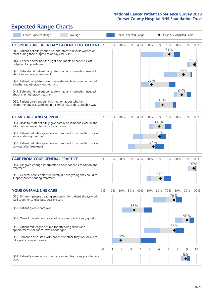# **Expected Range Charts**

| Lower Expected Range<br>Average                                                                                                                                                                                                                                                                                                                                                                                                                             |       |     | Upper Expected Range |            |     |            |                   | Case Mix Adjusted Score |                   |          |                 |
|-------------------------------------------------------------------------------------------------------------------------------------------------------------------------------------------------------------------------------------------------------------------------------------------------------------------------------------------------------------------------------------------------------------------------------------------------------------|-------|-----|----------------------|------------|-----|------------|-------------------|-------------------------|-------------------|----------|-----------------|
| <b>HOSPITAL CARE AS A DAY PATIENT / OUTPATIENT 0%</b><br>Q43. Patient definitely found hospital staff to discuss worries or<br>fears during their outpatient or day case visit<br>Q44. Cancer doctor had the right documents at patient's last<br>outpatient appointment                                                                                                                                                                                    |       | 10% | 20%                  | 30%        | 40% | 50%        | 60%               | 70%<br>71%              | 80%               |          | 90% 100%<br>98% |
| Q46. Beforehand patient completely had all information needed<br>about radiotherapy treatment<br>Q47. Patient completely given understandable information about<br>whether radiotherapy was working<br>Q49. Beforehand patient completely had all information needed<br>about chemotherapy treatment<br>Q50. Patient given enough information about whether<br>chemotherapy was working in a completely understandable way                                  |       |     |                      |            |     | 52%        | 64%               |                         | 84%               | 86%      |                 |
| <b>HOME CARE AND SUPPORT</b><br>Q51. Hospital staff definitely gave family or someone close all the<br>information needed to help care at home<br>Q52. Patient definitely given enough support from health or social<br>services during treatment<br>Q53. Patient definitely given enough support from health or social<br>services after treatment                                                                                                         | 0%    | 10% | 20%                  | 30%        | 40% | 50%<br>54% | 60%<br>60%<br>61% | 70%                     | 80%               |          | 90% 100%        |
| <b>CARE FROM YOUR GENERAL PRACTICE</b><br>Q54. GP given enough information about patient's condition and<br>treatment<br>Q55. General practice staff definitely did everything they could to<br>support patient during treatment                                                                                                                                                                                                                            | 0%    | 10% | 20%                  | 30%        | 40% | 50%        | 60%<br>62%        | 70%                     | 80%               |          | 90% 100%<br>97% |
| <b>YOUR OVERALL NHS CARE</b><br>Q56. Different people treating and caring for patient always work<br>well together to give best possible care<br>Q57. Patient given a care plan<br>Q58. Overall the administration of care was good or very good<br>Q59. Patient felt length of time for attending clinics and<br>appointments for cancer was about right<br>Q60. Someone discussed with patient whether they would like to<br>take part in cancer research | $0\%$ | 10% | 20%<br>19%           | 30%<br>33% | 40% | 50%        | 60%               | 70%                     | 80%<br>76%<br>76% | 90%      | 90% 100%        |
| Q61. Patient's average rating of care scored from very poor to very<br>good                                                                                                                                                                                                                                                                                                                                                                                 | 0     |     | $\overline{2}$       | 3          | 4   | 5          | 6                 | 7                       | 8                 | 9<br>8.9 | 10              |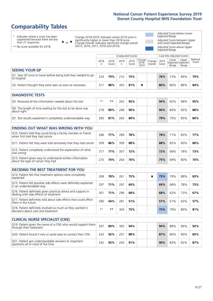# **Comparability Tables**

\* Indicates where a score has been suppressed because there are less than 21 responses.

\*\* No score available for 2018.

 $\triangle$  or  $\nabla$ 

Change 2018-2019: Indicates where 2019 score is significantly higher or lower than 2018 score Change Overall: Indicates significant change overall (2015, 2016, 2017, 2018 and 2019).

Adjusted Score below Lower Expected Range Adjusted Score between Upper and Lower Expected Ranges Adjusted Score above Upper Expected Range

|                                                                             | Unadjusted Scores<br>Case Mix Adjusted Scores |               |           |               |                           |                   |               |                |                                     |                   |  |
|-----------------------------------------------------------------------------|-----------------------------------------------|---------------|-----------|---------------|---------------------------|-------------------|---------------|----------------|-------------------------------------|-------------------|--|
|                                                                             | 2018<br>n                                     | 2018<br>Score | 2019<br>n | 2019<br>Score | Change  <br>2018-<br>2019 | Change<br>Overall | 2019<br>Score | Lower<br>Range | Upper<br>Expected Expected<br>Range | National<br>Score |  |
| <b>SEEING YOUR GP</b>                                                       |                                               |               |           |               |                           |                   |               |                |                                     |                   |  |
| Q1. Saw GP once or twice before being told they needed to go<br>to hospital | 224                                           | 79%           | 210       | 75%           |                           |                   | 76%           | 73%            | 84%                                 | 79%               |  |
| Q2. Patient thought they were seen as soon as necessary                     | 311                                           | 88%           | 303       | 81%           | ▼                         |                   | 80%           | 80%            | 88%                                 | 84%               |  |
| <b>DIAGNOSTIC TESTS</b>                                                     |                                               |               |           |               |                           |                   |               |                |                                     |                   |  |
| OF Becaused all the information peopled about the test                      | $***$                                         | $+ +$         | $\n  0$   | 0E0/          |                           |                   | 0.10/         | 020/           | 0.001                               | 0.50/             |  |

| O5. Received all the information needed about the test                    | $**$ | **  | 262 | 95% | 94% | 92% | 98% | 95% |
|---------------------------------------------------------------------------|------|-----|-----|-----|-----|-----|-----|-----|
| Q6. The length of time waiting for the test to be done was<br>about right | 278  | 89% | 268 | 90% | 90% | 84% | 92% | 88% |
| Q7. Test results explained in completely understandable way               | 283  | 81% | 264 | 80% | 79% | 75% | 85% | 80% |

| <b>FINDING OUT WHAT WAS WRONG WITH YOU</b>                                                      |     |     |     |     |     |     |     |     |
|-------------------------------------------------------------------------------------------------|-----|-----|-----|-----|-----|-----|-----|-----|
| Q10. Patient told they could bring a family member or friend<br>when first told they had cancer | 286 | 77% | 289 | 78% | 78% | 71% | 83% | 77% |
| Q11. Patient felt they were told sensitively that they had cancer                               | 309 | 86% | 309 | 88% | 88% | 82% | 90% | 86% |
| Q12. Patient completely understood the explanation of what<br>was wrong                         | 317 | 77% | 307 | 72% | 72% | 68% | 78% | 73% |
| Q13. Patient given easy to understand written information<br>about the type of cancer they had  | 270 | 74% | 264 | 76% | 75% | 69% | 80% | 74% |

| <b>DECIDING THE BEST TREATMENT FOR YOU</b>                                                              |      |     |     |     |  |     |     |     |     |
|---------------------------------------------------------------------------------------------------------|------|-----|-----|-----|--|-----|-----|-----|-----|
| Q14. Patient felt that treatment options were completely<br>explained                                   | 268  | 78% | 261 | 75% |  | 75% | 79% | 88% | 83% |
| Q15. Patient felt possible side effects were definitely explained<br>in an understandable way           | 297  | 71% | 297 | 69% |  | 69% | 68% | 78% | 73% |
| Q16. Patient definitely given practical advice and support in<br>dealing with side effects of treatment | 301  | 71% | 296 | 68% |  | 68% | 62% | 73% | 67% |
| Q17. Patient definitely told about side effects that could affect<br>them in the future                 | 280  | 54% | 281 | 51% |  | 51% | 51% | 63% | 57% |
| Q18. Patient definitely involved as much as they wanted in<br>decisions about care and treatment        | $**$ | **  | 304 | 75% |  | 75% | 76% | 86% | 81% |

| <b>CLINICAL NURSE SPECIALIST (CNS)</b>                                                    |     |     |     |     |     |     |     |     |
|-------------------------------------------------------------------------------------------|-----|-----|-----|-----|-----|-----|-----|-----|
| Q19. Patient given the name of a CNS who would support them<br>through their treatment    | 297 | 89% | 305 | 94% | 94% | 88% | 96% | 92% |
| Q20. Patient found it very or quite easy to contact their CNS                             | 243 | 92% | 257 | 88% | 87% | 80% | 90% | 85% |
| Q21. Patient got understandable answers to important<br>questions all or most of the time | 242 | 93% | 243 | 91% | 90% | 83% | 92% | 87% |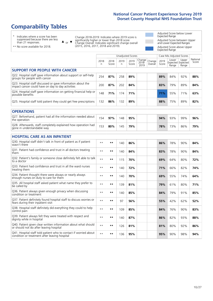# **Comparability Tables**

\* Indicates where a score has been suppressed because there are less than 21 responses.

\*\* No score available for 2018.

 $\triangle$  or  $\nabla$ 

Change 2018-2019: Indicates where 2019 score is significantly higher or lower than 2018 score Change Overall: Indicates significant change overall (2015, 2016, 2017, 2018 and 2019).

Adjusted Score below Lower Expected Range Adjusted Score between Upper and Lower Expected Ranges Adjusted Score above Upper Expected Range

|                                                                                                                   |                      |               | <b>Unadjusted Scores</b> |               |                         |                   |               | Case Mix Adjusted Scores |                                     |                   |
|-------------------------------------------------------------------------------------------------------------------|----------------------|---------------|--------------------------|---------------|-------------------------|-------------------|---------------|--------------------------|-------------------------------------|-------------------|
|                                                                                                                   | 2018<br>$\mathsf{n}$ | 2018<br>Score | 2019<br>n                | 2019<br>Score | Change<br>2018-<br>2019 | Change<br>Overall | 2019<br>Score | Lower<br>Range           | Upper<br>Expected Expected<br>Range | National<br>Score |
| <b>SUPPORT FOR PEOPLE WITH CANCER</b>                                                                             |                      |               |                          |               |                         |                   |               |                          |                                     |                   |
| Q22. Hospital staff gave information about support or self-help<br>groups for people with cancer                  | 254                  | 87%           | 258                      | 89%           |                         |                   | 89%           | 84%                      | 92%                                 | 88%               |
| Q23. Hospital staff discussed or gave information about the<br>impact cancer could have on day to day activities  | 200                  | 87%           | 202                      | 84%           |                         |                   | 83%           | 79%                      | 89%                                 | 84%               |
| Q24. Hospital staff gave information on getting financial help or<br>possible benefits                            | 148                  | 71%           | 174                      | 71%           |                         |                   | 71%           | 55%                      | 71%                                 | 63%               |
| Q25. Hospital staff told patient they could get free prescriptions                                                | 132                  | 86%           | 132                      | 89%           |                         |                   | 88%           | 75%                      | 89%                                 | 82%               |
| <b>OPERATIONS</b>                                                                                                 |                      |               |                          |               |                         |                   |               |                          |                                     |                   |
| Q27. Beforehand, patient had all the information needed about<br>the operation                                    | 154                  | 97%           | 148                      | 95%           |                         |                   | 94%           | 93%                      | 99%                                 | 96%               |
| Q28. Afterwards, staff completely explained how operation had<br>gone in understandable way                       | 153                  | 80%           | 145                      | 79%           |                         |                   | 78%           | 73%                      | 86%                                 | 79%               |
| <b>HOSPITAL CARE AS AN INPATIENT</b>                                                                              |                      |               |                          |               |                         |                   |               |                          |                                     |                   |
| Q30. Hospital staff didn't talk in front of patient as if patient<br>wasn't there                                 | $* *$                | $***$         | 140                      | 86%           |                         |                   | 86%           | 78%                      | 90%                                 | 84%               |
| Q31. Patient had confidence and trust in all doctors treating<br>them                                             | $**$                 | $***$         | 140                      | 84%           |                         |                   | 83%           | 78%                      | 90%                                 | 84%               |
| Q32. Patient's family or someone close definitely felt able to talk<br>to a doctor                                | $* *$                | $***$         | 115                      | 70%           |                         |                   | 69%           | 64%                      | 80%                                 | 72%               |
| O33. Patient had confidence and trust in all the ward nurses<br>treating them                                     | $\star\,\star$       | **            | 140                      | 72%           |                         |                   | 71%           | 66%                      | 82%                                 | 74%               |
| Q34. Patient thought there were always or nearly always<br>enough nurses on duty to care for them                 | $**$                 | $***$         | 140                      | 70%           |                         |                   | 69%           | 55%                      | 74%                                 | 64%               |
| Q35. All hospital staff asked patient what name they prefer to<br>be called by                                    | $**$                 | $***$         | 139                      | 81%           |                         |                   | 79%           | 61%                      | 80%                                 | 71%               |
| Q36. Patient always given enough privacy when discussing<br>condition or treatment                                | $* *$                | $***$         | 140                      | 85%           |                         |                   | 84%           | 79%                      | 91%                                 | 85%               |
| Q37. Patient definitely found hospital staff to discuss worries or<br>fears during their inpatient visit          | $* *$                | **            | 97                       | 56%           |                         |                   | 55%           | 42%                      | 62%                                 | 52%               |
| Q38. Hospital staff definitely did everything they could to help<br>control pain                                  | $* *$                | $***$         | 109                      | 85%           |                         |                   | 84%           | 76%                      | 90%                                 | 83%               |
| Q39. Patient always felt they were treated with respect and<br>dignity while in hospital                          | $* *$                | $***$         | 140                      | 87%           |                         |                   | 86%           | 82%                      | 93%                                 | 88%               |
| Q40. Patient given clear written information about what should<br>or should not do after leaving hospital         | $* *$                | $***$         | 126                      | 81%           |                         |                   | 81%           | 80%                      | 92%                                 | 86%               |
| Q41. Hospital staff told patient who to contact if worried about<br>condition or treatment after leaving hospital | $**$                 | $***$         | 136                      | 95%           |                         |                   | 95%           | 90%                      | 98%                                 | 94%               |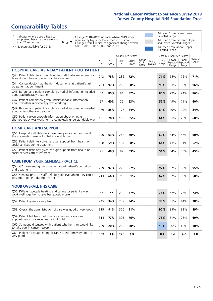# **Comparability Tables**

\* Indicates where a score has been suppressed because there are less than 21 responses.

\*\* No score available for 2018.

 $\triangle$  or  $\nabla$ 

Change 2018-2019: Indicates where 2019 score is significantly higher or lower than 2018 score Change Overall: Indicates significant change overall (2015, 2016, 2017, 2018 and 2019).

Adjusted Score below Lower Expected Range Adjusted Score between Upper and Lower Expected Ranges Adjusted Score above Upper Expected Range

|                                                                                                                       |           |               |           | Unadjusted Scores |                         |                   |               | Case Mix Adjusted Scores            |                |                   |
|-----------------------------------------------------------------------------------------------------------------------|-----------|---------------|-----------|-------------------|-------------------------|-------------------|---------------|-------------------------------------|----------------|-------------------|
|                                                                                                                       | 2018<br>n | 2018<br>Score | 2019<br>n | 2019<br>Score     | Change<br>2018-<br>2019 | Change<br>Overall | 2019<br>Score | Lower<br>Expected Expected<br>Range | Upper<br>Range | National<br>Score |
| <b>HOSPITAL CARE AS A DAY PATIENT / OUTPATIENT</b>                                                                    |           |               |           |                   |                         |                   |               |                                     |                |                   |
| Q43. Patient definitely found hospital staff to discuss worries or<br>fears during their outpatient or day case visit | 243       | 78%           | 236       | 72%               |                         |                   | 71%           | 65%                                 | 76%            | 71%               |
| Q44. Cancer doctor had the right documents at patient's last<br>outpatient appointment                                | 283       | 97%           | 269       | 98%               |                         |                   | 98%           | 93%                                 | 98%            | 96%               |
| Q46. Beforehand patient completely had all information needed<br>about radiotherapy treatment                         | 62        | 85%           | 84        | 87%               |                         |                   | 86%           | 79%                                 | 94%            | 86%               |
| Q47. Patient completely given understandable information<br>about whether radiotherapy was working                    | 57        | 60%           | 76        | 53%               |                         |                   | 52%           | 49%                                 | 71%            | 60%               |
| Q49. Beforehand patient completely had all information needed<br>about chemotherapy treatment                         | 179       | 85%           | 178       | 84%               |                         |                   | 84%           | 79%                                 | 90%            | 84%               |
| Q50. Patient given enough information about whether<br>chemotherapy was working in a completely understandable way    | 161       | 70%           | 168       | 65%               |                         |                   | 64%           | 61%                                 | 75%            | 68%               |
| <b>HOME CARE AND SUPPORT</b>                                                                                          |           |               |           |                   |                         |                   |               |                                     |                |                   |
| Q51. Hospital staff definitely gave family or someone close all<br>the information needed to help care at home        | 240       | 63%           | 242       | 60%               |                         |                   | 60%           | 54%                                 | 66%            | 60%               |
| Q52. Patient definitely given enough support from health or<br>social services during treatment                       | 168       | 59%           | 167       | 60%               |                         |                   | 61%           | 43%                                 | 61%            | 52%               |
| Q53. Patient definitely given enough support from health or<br>social services after treatment                        | 91        | 49%           | 89        | 53%               |                         |                   | 54%           | 34%                                 | 56%            | 45%               |
| <b>CARE FROM YOUR GENERAL PRACTICE</b>                                                                                |           |               |           |                   |                         |                   |               |                                     |                |                   |
| Q54. GP given enough information about patient's condition<br>and treatment                                           | 239       | 97%           | 228       | 97%               |                         |                   | 97%           | 92%                                 | 98%            | 95%               |
| Q55. General practice staff definitely did everything they could<br>to support patient during treatment               | 213       | 66%           | 216       | 61%               |                         |                   | 62%           | 52%                                 | 65%            | 58%               |
| <b>YOUR OVERALL NHS CARE</b>                                                                                          |           |               |           |                   |                         |                   |               |                                     |                |                   |
| Q56. Different people treating and caring for patient always<br>work well together to give best possible care         | $* *$     | $***$         | 290       | 77%               |                         |                   | 76%           | 67%                                 | 78%            | 73%               |
| Q57. Patient given a care plan                                                                                        | 245       | 34%           | 237       | 34%               |                         |                   | 33%           | 31%                                 | 44%            | 38%               |
| Q58. Overall the administration of care was good or very good                                                         | 315       | 91%           | 306       | 91%               |                         |                   | 90%           | 85%                                 | 93%            | 89%               |
| Q59. Patient felt length of time for attending clinics and<br>appointments for cancer was about right                 | 314       | 77%           | 303       | 76%               |                         |                   | 76%           | 61%                                 | 78%            | 69%               |
| Q60. Someone discussed with patient whether they would like<br>to take part in cancer research                        | 299       | 20%           | 289       | 20%               |                         |                   | 19%           | 20%                                 | 40%            | 30%               |
| Q61. Patient's average rating of care scored from very poor to<br>very good                                           | 309       | 8.9           | 296       | 8.9               |                         |                   | 8.9           | 8.6                                 | 9.0            | 8.8               |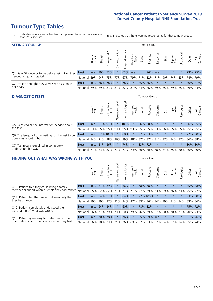# **Tumour Type Tables**

- \* Indicates where a score has been suppressed because there are less than 21 responses.
- n.a. Indicates that there were no respondents for that tumour group.

| <b>SEEING YOUR GP</b>                           |            |              |               |                   |                |                |                  |         | Tumour Group |         |         |                 |                                                     |         |                |
|-------------------------------------------------|------------|--------------|---------------|-------------------|----------------|----------------|------------------|---------|--------------|---------|---------|-----------------|-----------------------------------------------------|---------|----------------|
|                                                 |            | Brain<br>CNS | <b>Breast</b> | Colorectal<br>LGT | Gynaecological | Haematological | Head and<br>Neck | Lung    | Prostate     | Sarcoma | Skin    | Upper<br>Gastro | $\overline{\sigma}$<br>Jrologica                    | Other   | All<br>Cancers |
| Q1. Saw GP once or twice before being told they | Trust      | n.a.         | 89% 73%       |                   | $\star$        | 63%            | n.a.             | $\star$ | 76%          | n.a.    | $\star$ | $\star$         |                                                     | 73% 75% |                |
| needed to go to hospital                        | National I | 59%          |               |                   |                |                |                  |         |              |         |         |                 | 94% 75% 77% 67% 79% 71% 82% 71% 90% 74% 83% 74% 79% |         |                |
| Q2. Patient thought they were seen as soon as   | Trust      | n.a.         |               | 88% 78%           | $\star$        | 78%            | $\star$          |         | 85% 86%      | $\star$ | $\star$ | $\star$         |                                                     | 76% 81% |                |
| necessary                                       | National I | 79%          |               |                   |                |                |                  |         |              |         |         |                 | 89% 83% 81% 82% 81% 84% 86% 69% 85% 79% 85% 79%     |         | 84%            |

#### **DIAGNOSTIC TESTS** Tumour Group

|                                                   |                                          | Brain<br>CNS | <b>Breast</b> | Colorectal<br>LGT | ᠊ᢛ<br>Gynaecologic | Haematological | Head and<br>Neck | Lung        | Prostate | Sarcoma | Skin                                        | Upper<br>Gastro | rological | Other | All<br>Cancers |
|---------------------------------------------------|------------------------------------------|--------------|---------------|-------------------|--------------------|----------------|------------------|-------------|----------|---------|---------------------------------------------|-----------------|-----------|-------|----------------|
| Q5. Received all the information needed about     | <b>Trust</b>                             | n.a.         |               | 91% 97%           |                    | 100%           | $\ast$           |             | 96% 90%  |         | $\star$                                     | $\star$         | $\star$   |       | 96% 95%        |
| $\vert$ the test                                  | National                                 | 93%          |               | 95% 95%           |                    | 93% 95%        |                  | 93% 95% 95% |          | 93%     | 96%                                         |                 | 95% 95%   |       | 95% 95%        |
| Q6. The length of time waiting for the test to be | Trust                                    | n.a.         |               | 92% 100%          | $\star$            | 88%            | $\star$          | 92%         | 93%      |         | $\star$                                     | $\star$         | $\star$   |       | 77% 90%        |
| done was about right                              | <b>National</b>                          |              |               | 84%   91%   88%   |                    |                |                  |             |          |         | 86% 89% 88% 87% 87% 81% 87% 84% 87% 86% 88% |                 |           |       |                |
| Q7. Test results explained in completely          | Trust                                    | n.a.         |               | 81% 86%           | $\star$            | 74%            | $\star$          |             | 83% 72%  |         | $\star$                                     | $\star$         | $\star$   |       | 80% 80%        |
| understandable way                                | National 71% 83% 82% 77% 77% 79% 80% 80% |              |               |                   |                    |                |                  |             |          |         | 78% 84% 75% 80% 76% 80%                     |                 |           |       |                |

| <b>FINDING OUT WHAT WAS WRONG WITH YOU</b>        |          |       |               |                             |                |                |                        |      | <b>Tumour Group</b> |          |         |                 |            |       |                |
|---------------------------------------------------|----------|-------|---------------|-----------------------------|----------------|----------------|------------------------|------|---------------------|----------|---------|-----------------|------------|-------|----------------|
|                                                   |          | Brain | <b>Breast</b> | ╮<br>olorectal.<br>LGT<br>Ü | Gynaecological | Haematological | ad and<br>Neck<br>Head | Lung | Prostate            | Sarcoma  | Skin    | Upper<br>Gastro | Jrological | Other | All<br>Cancers |
| Q10. Patient told they could bring a family       | Trust    | n.a.  | 87%           | 89%                         | $\star$        | 66%            | $\star$                | 68%  | 78%                 | $\star$  | $\star$ | $\star$         | $\star$    | 75%   | 78%            |
| member or friend when first told they had cancer  | National | 85%   | 82%           | 82%                         | 71%            | 71%            | 71%                    | 77%  | 79%                 | 73%      | 69%     | 76%             | 73%        | 75%   | 77%            |
| Q11. Patient felt they were told sensitively that | Trust    | n.a.  | 84%           | 92%                         |                | 84%            | $\ast$                 |      | 77% 100%            | $^\star$ | $\star$ | $\star$         | $\star$    |       | 93% 88%        |
| they had cancer                                   | National | 79%   | 89% 87%       |                             | 82%            |                |                        |      | 84% 87% 83% 86%     | 84%      | 89%     | 81%             | 84%        |       | 83% 86%        |
| Q12. Patient completely understood the            | Trust    | n.a.  | 64%           | 84%                         |                | 60%            | $\star$                | 78%  | 82%                 | $\star$  | $\star$ | $\star$         | $\star$    |       | 75% 72%        |
| explanation of what was wrong                     | National | 66%   | 77%           | 79%                         | 73%            | 60%            | 78%                    | 76%  | 79%                 | 67%      | 80%     | 70%             | 77%        | 70%   | 73%            |
| Q13. Patient given easy to understand written     | Trust    | n.a.  | 70%           | 78%                         |                | 76%            | $\star$                |      | 65% 89%             | n.a.     | $\star$ | $\star$         | $\star$    | 61%   | 76%            |
| information about the type of cancer they had     | National | 66%   | 78%           | 73%                         | 71%            |                |                        |      | 76% 69% 67% 83%     | 67%      | 84%     |                 | 67% 74%    | 65%   | 74%            |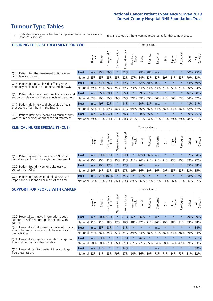# **Tumour Type Tables**

\* Indicates where a score has been suppressed because there are less than 21 responses.

n.a. Indicates that there were no respondents for that tumour group.

| <b>DECIDING THE BEST TREATMENT FOR YOU</b>         |              |       |               |                             |                |                |                        |      | <b>Tumour Group</b> |                                     |         |                 |            |         |                |
|----------------------------------------------------|--------------|-------|---------------|-----------------------------|----------------|----------------|------------------------|------|---------------------|-------------------------------------|---------|-----------------|------------|---------|----------------|
|                                                    |              | Brain | <b>Breast</b> | blorectal.<br>LGT<br>$\cup$ | Gynaecological | Haematological | ad and<br>Neck<br>Head | Lung | Prostate            | Sarcoma                             | Skin    | Upper<br>Gastro | Jrological | Other   | All<br>Cancers |
| Q14. Patient felt that treatment options were      | <b>Trust</b> | n.a.  | 75%           | 79%                         | $\star$        | 72%            | $\star$                | 79%  | 78%                 | n.a.                                | $\ast$  | $\star$         |            | 50%     | 75%            |
| completely explained                               | National     | 85%   | 85%           | 85%                         | 85%            | 82%            | 87%                    |      | 84% 83%             | 83%                                 | 89%     | 81%             | 83%        |         | 79% 83%        |
| Q15. Patient felt possible side effects were       | Trust        | n.a.  | 63%           | 78%                         | $\star$        | 69%            | $\ast$                 |      | 72% 70%             | n.a.                                |         | $\star$         |            | $54\%$  | 69%            |
| definitely explained in an understandable way      | National     | 69%   | 74%           | 76%                         | 75%            | 69%            | 73%                    |      | 74% 73%             | 73%                                 | 77%     | 72%             | 71%        | 70%     | 73%            |
| Q16. Patient definitely given practical advice and | Trust        | n.a.  | 75%           | 78%                         | $\star$        | 65%            | $\star$                |      | 69% 67%             | $^\star$                            |         | $\star$         | $^\star$   |         | 46% 68%        |
| support in dealing with side effects of treatment  | National     | 63%   | 70%           | 70%                         | 69%            | 65%            | 70%                    | 69%  | 65%                 | 66%                                 | 71%     | 66%             | 63%        | 64%     | 67%            |
| Q17. Patient definitely told about side effects    | Trust        | n.a.  | 49%           | 62%                         |                | 41%            | $\star$                | 50%  | 58%                 | n.a.                                | $\star$ | $\star$         | $^\star$   | 48%     | 51%            |
| that could affect them in the future               | National     | 62%   | 57%           | 59%                         | 56%            | 51%            | 64%                    | 56%  | 66%                 | 54%                                 | 66%     | 53%             | 56%        | 52%     | 57%            |
| Q18. Patient definitely involved as much as they   | Trust        | n.a.  | 64%           | 84%                         | $\star$        | 76%            | $\star$                |      | 88% 75%             | $\star$                             | $\star$ | $\star$         | $^\star$   |         | 59% 75%        |
| wanted in decisions about care and treatment       | National     | 79%   |               |                             |                |                |                        |      |                     | 81% 83% 81% 80% 81% 81% 84% 81% 87% |         | 79%             | 79%        | 78% 81% |                |

#### **CLINICAL NURSE SPECIALIST (CNS)** Tumour Group

|                                             |          | Brain | <b>Breast</b>   | Colorectal<br>LGT | Gynaecologic | ᠊ᢛ<br>U<br>aematologi | Head and<br>Neck | Lung        | Prostate | Sarcoma | Skin    | Upper<br>Gastro                 | $\overline{\sigma}$<br>rologica | Other | All<br>Cancers |
|---------------------------------------------|----------|-------|-----------------|-------------------|--------------|-----------------------|------------------|-------------|----------|---------|---------|---------------------------------|---------------------------------|-------|----------------|
| Q19. Patient given the name of a CNS who    | Trust    | n.a.  | 93% 97%         |                   |              | 93%                   | $^\star$         | 100% 86%    |          | n.a.    | $\star$ | $\star$                         |                                 | 97%   | 94%            |
| would support them through their treatment  | National |       | 95% 95% 92% 95% |                   |              |                       | 92% 91%          |             |          |         |         | 94% 91% 91% 91% 93% 85%         |                                 | 89%   | 92%            |
| Q20. Patient found it very or quite easy to | Trust    | n.a.  |                 | 90% 97%           |              | 87%                   | $\star$          | 96%         | $\star$  | n.a.    | $\star$ | $\star$                         | $\star$                         |       | 85% 88%        |
| contact their CNS                           | National |       | 86% 84% 88% 85% |                   |              | 87%                   |                  | 86% 86% 80% |          | 86%     |         | 90% 85%                         | 83%                             | 83%   | 85%            |
| Q21. Patient got understandable answers to  | Trust    | n.a.  |                 | 94% 100%          |              | 85%                   | $\star$          | 91%         | $\star$  | $\star$ | $\star$ | $\star$                         |                                 | 88%   | 91%            |
| important questions all or most of the time | National |       | 82% 87% 89% 86% |                   |              |                       |                  |             |          |         |         | 89% 88% 86% 87% 87% 93% 86% 87% |                                 | 86%   | 87%            |

| <b>SUPPORT FOR PEOPLE WITH CANCER</b>                                                             |              |       |               |            |                |                |                        |             | <b>Tumour Group</b> |         |         |                 |            |         |                |
|---------------------------------------------------------------------------------------------------|--------------|-------|---------------|------------|----------------|----------------|------------------------|-------------|---------------------|---------|---------|-----------------|------------|---------|----------------|
|                                                                                                   |              | Brain | <b>Breast</b> | Colorectal | Gynaecological | Haematological | ad and<br>Neck<br>Head | Lung        | Prostate            | Sarcoma | Skin    | Upper<br>Gastro | Jrological | Other   | All<br>Cancers |
| Q22. Hospital staff gave information about<br>support or self-help groups for people with         | Trust        | n.a.  | 90%           | 91%        | $\star$        | 87%            | n.a.                   | 86%         | $\star$             | n.a.    | $\star$ | $\star$         | $\star$    | 79%     | 89%            |
| cancer                                                                                            | National     | 92%   | 92%           | 88%        | 87%            | 86%            | 88%                    | 87%         | 91%                 | 86%     | 90%     | 88%             | 81%        | 83%     | 88%            |
| Q23. Hospital staff discussed or gave information<br>about the impact cancer could have on day to | <b>Trust</b> | n.a.  | 85%           | 88%        | $\star$        | 81%            | $\star$                | $\star$     | $\star$             | n.a.    | $\star$ | $\star$         | $\star$    | $\star$ | 84%            |
| day activities                                                                                    | National     | 84%   | 86%           | 85%        | 82%            | 84%            | 84%                    | 83%         | 88%                 | 81%     | 86%     | 83%             | 78%        | 79%     | 84%            |
| Q24. Hospital staff gave information on getting                                                   | Trust        | n.a.  | 83%           | $\star$    | $\star$        | 67%            | $\ast$                 | 76%         | $\star$             | $\star$ | $\star$ | $\star$         | $\star$    | $\ast$  | 71%            |
| financial help or possible benefits                                                               | National     | 78%   | 68%           | 61%        | 66%            | 61%            | 67%                    | 72%         | 55%                 | 64%     | 60%     | 64%             | 47%        | 59%     | 63%            |
| Q25. Hospital staff told patient they could get                                                   | Trust        | n.a.  | 81%           |            | $\star$        | 84%            | $\star$                | $\star$     | $\star$             | n.a.    | $\star$ | $\star$         | $\star$    | $\star$ | 89%            |
| free prescriptions                                                                                | National     | 82%   | 81%           | 83%        | 79%            | 87%            |                        | 84% 86% 80% |                     | 78%     | 71%     | 84%             | 73%        | 81%     | 82%            |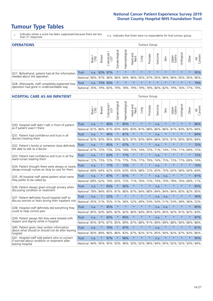# **Tumour Type Tables**

\* Indicates where a score has been suppressed because there are less than 21 responses.

n.a. Indicates that there were no respondents for that tumour group.

| <b>OPERATIONS</b>                                |              |              |               |                 |                   |                |                                             |         | Tumour Group |         |         |                 |             |         |                |
|--------------------------------------------------|--------------|--------------|---------------|-----------------|-------------------|----------------|---------------------------------------------|---------|--------------|---------|---------|-----------------|-------------|---------|----------------|
|                                                  |              | Brain<br>CNS | <b>Breast</b> | ╮<br>Colorectal | ক<br>Gynaecologic | Haematological | Head and<br>Neck                            | Fung    | Prostate     | Sarcoma | Skin    | Upper<br>Gastro | Jrological  | Other   | All<br>Cancers |
| Q27. Beforehand, patient had all the information | <b>Trust</b> | n.a.         | 93% 97%       |                 | $\star$           | $\star$        | $\star$                                     | $\star$ | $\star$      | $\star$ | $\star$ | $\star$         | $\star$     | $\star$ | 95%            |
| needed about the operation                       | National     | 96%          | 97%           | 96%             | 96%               |                | 94% 96% 95% 97% 95% 96%                     |         |              |         |         |                 | 96% 95% 95% |         | 96%            |
| Q28. Afterwards, staff completely explained how  | Trust        | n.a.         |               | 73% 93%         | $\star$           | $\star$        | $\star$                                     | $\star$ | $\star$      | $\star$ | $\star$ | $\star$         | $\star$     | $\star$ | 79%            |
| operation had gone in understandable way         | National     | 76%          |               | 79% 83%         |                   |                | 79% 78% 79% 79% 78% 80% 82% 79% 76% 77% 79% |         |              |         |         |                 |             |         |                |

#### **HOSPITAL CARE AS AN INPATIENT** Tumour Group

|                                                                                                   |              | Brain | Breast  | $\overline{\phantom{0}}$<br>Colorectal /<br>LGT | Gynaecological | Haematological | Head and<br>Neck | Lung        | Prostate | Sarcoma | Skin            | Upper<br>Gastro | Urological | Other   | All<br>Cancers |
|---------------------------------------------------------------------------------------------------|--------------|-------|---------|-------------------------------------------------|----------------|----------------|------------------|-------------|----------|---------|-----------------|-----------------|------------|---------|----------------|
| Q30. Hospital staff didn't talk in front of patient                                               | <b>Trust</b> | n.a.  | $\star$ | 80%                                             | $\star$        | 85%            | $\star$          | $\star$     | $\star$  | n.a.    | $\star$         | $\star$         | $\star$    | $\star$ | 86%            |
| as if patient wasn't there                                                                        | National     | 81%   | 86%     | 81%                                             | 83%            | 84%            | 83%              | 81%         | 88%      | 86%     | 86%             | 81%             | 83%        | 82%     | 84%            |
| Q31. Patient had confidence and trust in all<br>doctors treating them                             | <b>Trust</b> | n.a.  | $\star$ | 90%                                             | $\star$        | 81%            | $\star$          | $\star$     | $\star$  | n.a.    | $\star$         | $\star$         | $\star$    | $\star$ | 84%            |
|                                                                                                   | National     | 82%   | 83%     | 85%                                             | 83%            | 82%            |                  | 87% 83%     | 89%      | 86%     | 85%             |                 | 81% 85%    | 80%     | 84%            |
| Q32. Patient's family or someone close definitely                                                 | <b>Trust</b> | n.a.  | $\star$ | 85%                                             | $\star$        | 67%            | $\star$          | $\star$     | $\star$  | n.a.    | $\star$         | $\star$         | $\star$    | $\star$ | 70%            |
| felt able to talk to a doctor                                                                     | National     | 67%   | 72%     | 73%                                             | 72%            | 74%            | 75%              | 74%         | 72%      | 71%     | 74%             | 73%             | 71%        | 69%     | 72%            |
| Q33. Patient had confidence and trust in all the<br>ward nurses treating them                     | <b>Trust</b> | n.a.  | $\star$ | 63%                                             | $\star$        | 77%            | $\star$          | $\star$     | $\star$  | n.a.    | $\star$         | $\star$         | $\star$    | $\star$ | 72%            |
|                                                                                                   | National     | 72%   | 73%     | 72%                                             | 71%            | 77%            | 75%              | 77%         | 79%      | 74%     | 75%             | 73%             | 77%        | 69%     | 74%            |
| Q34. Patient thought there were always or nearly<br>always enough nurses on duty to care for them | <b>Trust</b> | n.a.  | $\star$ | 77%                                             | $\star$        | 73%            | $\star$          | $\star$     | $\star$  | n.a.    | $\star$         | $\star$         | $\star$    | $\star$ | 70%            |
|                                                                                                   | National     | 68%   | 64%     | 62%                                             | 63%            | 63%            | 65%              | 68%         | 72%      | 65%     | 70%             | 65%             | 66%        | 60%     | 64%            |
| Q35. All hospital staff asked patient what name                                                   | Trust        | n.a.  | $\star$ | 87%                                             | $\star$        | 81%            | $\star$          | $\star$     | $\star$  | n.a.    | n.a.            |                 | $\star$    | $\star$ | 81%            |
| they prefer to be called by                                                                       | National     | 68%   | 62%     | 74%                                             | 65%            | 72%            | 71%              | 76%         | 72%      | 74%     | 70%             | 78%             | 76%        | 69%     | 71%            |
| Q36. Patient always given enough privacy when                                                     | Trust        | n.a.  | $\star$ | 83%                                             | $\star$        | 92%            | $\star$          | $\star$     | $\star$  | n.a.    | $\star$         | $\star$         | $\star$    | $\star$ | 85%            |
| discussing condition or treatment                                                                 | National     | 78%   | 84%     | 85%                                             | 81%            | 86%            |                  | 87% 84%     | 88%      | 84%     | 84%             | 84%             | 85%        | 82%     | 85%            |
| Q37. Patient definitely found hospital staff to                                                   | <b>Trust</b> | n.a.  | $\star$ | 52%                                             | $\star$        | $\star$        | $\star$          | $\star$     | $\star$  | n.a.    | n.a.            | $\star$         | $\star$    | $\star$ | 56%            |
| discuss worries or fears during their inpatient visit                                             | National     | 45%   | 51%     | 55%                                             |                | 51% 56%        | 52%              | 49%         | 53%      | 54%     | 51%             |                 | 53% 49%    | 46%     | 52%            |
| Q38. Hospital staff definitely did everything they                                                | Trust        | n.a.  | $\star$ | 85%                                             | $\star$        | $\star$        | $\star$          | $\star$     | $\star$  | n.a.    | n.a.            | $\star$         | $\star$    | $\star$ | 85%            |
| could to help control pain                                                                        | National     | 85%   | 83%     | 84%                                             | 82%            | 82%            |                  | 80% 84%     | 85%      | 83%     | 85%             | 82%             | 81%        | 82%     | 83%            |
| Q39. Patient always felt they were treated with                                                   | Trust        | n.a.  | $\star$ | 83%                                             | $\star$        | 85%            | $\star$          | $\star$     | $\star$  | n.a.    | $\star$         | $\star$         | $\star$    | $\star$ | 87%            |
| respect and dignity while in hospital                                                             | National     | 85%   | 87%     | 87%                                             | 85%            | 89%            |                  | 87% 88%     | 91%      | 89%     | 89%             | 88%             | 90%        | 86%     | 88%            |
| Q40. Patient given clear written information<br>about what should or should not do after leaving  | <b>Trust</b> | n.a.  | $\star$ | 76%                                             | $\star$        | 87%            | $\star$          | $\star$     | $\star$  | n.a.    | $\star$         | $\star$         | $\star$    | $\star$ | 81%            |
| hospital                                                                                          | National     | 80%   | 89%     | 86%                                             | 86%            | 83%            |                  | 87% 82%     | 91%      | 85%     | 90%             | 82%             | 87%        | 83%     | 86%            |
| Q41. Hospital staff told patient who to contact<br>if worried about condition or treatment after  | <b>Trust</b> | n.a.  | $\star$ | 97%                                             | $\star$        | 96%            | $\star$          | $\star$     | $\star$  | n.a.    | $\star$         | $\star$         | $\star$    | $\star$ | 95%            |
| leaving hospital                                                                                  | National     | 94%   | 95%     |                                                 | 95% 93%        |                |                  | 96% 93% 92% | 96%      |         | 94% 95% 92% 92% |                 |            | 93%     | 94%            |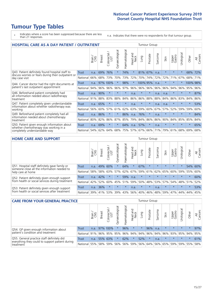# **Tumour Type Tables**

\* Indicates where a score has been suppressed because there are less than 21 responses.

n.a. Indicates that there were no respondents for that tumour group.

| <b>HOSPITAL CARE AS A DAY PATIENT / OUTPATIENT</b>                                                                    |              |       |               |                            |                |                |                         |          | <b>Tumour Group</b> |         |         |                 |            |          |                |  |  |  |  |  |
|-----------------------------------------------------------------------------------------------------------------------|--------------|-------|---------------|----------------------------|----------------|----------------|-------------------------|----------|---------------------|---------|---------|-----------------|------------|----------|----------------|--|--|--|--|--|
|                                                                                                                       |              | Brain | <b>Breast</b> | ╮<br>olorectal<br>LGT<br>Ũ | Gynaecological | Haematological | aad and<br>Neck<br>Head | Lung     | Prostate            | Sarcoma | Skin    | Upper<br>Gastro | Urological | Other    | All<br>Cancers |  |  |  |  |  |
| Q43. Patient definitely found hospital staff to                                                                       | <b>Trust</b> | n.a.  | 69%           | 76%                        | $\star$        | 74%            | $\star$                 | 81%      | 67%                 | n.a.    | $\star$ | $\star$         | $\star$    | 68%      | 72%            |  |  |  |  |  |
| discuss worries or fears during their outpatient or<br>day case visit                                                 | National     | 66%   | 68%           | 73%                        | 70%            | 73%            | 72%                     | 70%      | 74%                 | 72%     | 72%     | 71%             | 67%        | 68%      | 71%            |  |  |  |  |  |
| Q44. Cancer doctor had the right documents at<br>patient's last outpatient appointment                                | Trust        | n.a.  |               | 97% 100%                   |                | 98%            | $\star$                 | 100% 95% |                     | n.a.    |         | $\star$         |            | 100% 98% |                |  |  |  |  |  |
|                                                                                                                       | National     | 94%   | 96%           | 96%                        | 96%            | 97%            | 96%                     | 96%      | 96%                 | 96%     | 96%     | 94%             | 96%        | 95%      | 96%            |  |  |  |  |  |
| Q46. Beforehand patient completely had                                                                                | <b>Trust</b> | n.a.  | 90%           | $\star$                    | $\star$        | $\star$        | n.a.                    | $\star$  | $\star$             | n.a.    | n.a.    | $\star$         | $\star$    | $\star$  | 87%            |  |  |  |  |  |
| all information needed about radiotherapy<br>treatment                                                                | National     | 91%   | 88%           | 83%                        | 88%            | 84%            | 86%                     | 86%      | 88%                 | 88%     | 84%     | 86%             | 83%        | 84%      | 86%            |  |  |  |  |  |
| Q47. Patient completely given understandable                                                                          | Trust        | n.a.  | 65%           | $\star$                    |                | $\star$        | n.a.                    | $\star$  | $\star$             | n.a.    | n.a.    | $\star$         | $\star$    | $\star$  | 53%            |  |  |  |  |  |
| information about whether radiotherapy was<br>working                                                                 | National     | 56%   | 60%           | 57%                        | 61%            | 62%            | 63%                     | 59%      | 60%                 | 67%     | 57%     | 52%             | 59%        | 59%      | 60%            |  |  |  |  |  |
| Q49. Beforehand patient completely had all                                                                            | <b>Trust</b> | n.a.  | 86%           |                            |                | 86%            | n.a.                    | 76%      | $\star$             | n.a.    |         | $\star$         | $\star$    | $\star$  | 84%            |  |  |  |  |  |
| information needed about chemotherapy<br>treatment                                                                    | National     | 80%   | 82%           | 86%                        | 87%            | 85%            | 79%                     | 84%      | 86%                 | 86%     | 90%     | 84%             | 85%        | 85%      | 84%            |  |  |  |  |  |
| Q50. Patient given enough information about<br>whether chemotherapy was working in a<br>completely understandable way | <b>Trust</b> | n.a.  | 69%           | $\star$                    | $^\star$       | 64%            | n.a.                    | 57%      | $\star$             | n.a.    | $\star$ | $\star$         | $\star$    | $\star$  | 65%            |  |  |  |  |  |
|                                                                                                                       | National     | 54%   | 62%           | 64%                        | 68%            | 75%            | 57%                     | 67%      | 66%                 | 71%     | 79%     | 61%             | 68%        | 69%      | 68%            |  |  |  |  |  |

#### **HOME CARE AND SUPPORT** Tumour Group

|                                                                                                                   |              | Brain | <b>Breast</b> | olorectal.<br>LGT<br>Ū | σ<br>Ü<br>Gynaecologi | Haematological | ad and<br>Neck<br>Head | <b>Lung</b> | Prostate | Sarcoma | Skin    | Upper<br>Gastro | rological | Other   | All<br>Cancers |
|-------------------------------------------------------------------------------------------------------------------|--------------|-------|---------------|------------------------|-----------------------|----------------|------------------------|-------------|----------|---------|---------|-----------------|-----------|---------|----------------|
| Q51. Hospital staff definitely gave family or<br>someone close all the information needed to<br>help care at home | <b>Trust</b> | n.a.  | 49%           | 60%                    | $\star$               | 64%            | $\star$                | 67%         | $\star$  | $\star$ | $\star$ | $\star$         | $\star$   | 54%     | 60%            |
|                                                                                                                   | National     | 58%   | 58%           | 63%                    | 57%                   | 62%            | 67%                    |             | 59% 61%  |         | 62% 65% | 60%             | 59% 55%   |         | 60%            |
| Q52. Patient definitely given enough support<br>from health or social services during treatment                   | Trust        | n.a.  | 42%           |                        | $\star$               | 59%            | n.a.                   | $\star$     | $\star$  |         | $\star$ | $\star$         | $\star$   | $\star$ | 60%            |
|                                                                                                                   | National     | 42%   | 52%           | 60%                    | 45%                   | 51%            | 59%                    | 50%         | 48%      |         | 53% 57% | 54%             | 48% 51%   |         | 52%            |
| Q53. Patient definitely given enough support<br>from health or social services after treatment                    | Trust        | n.a.  | 36%           |                        | $\star$               | $\star$        | n.a.                   | $\star$     | $\star$  | n.a.    | $\star$ | $\star$         | $\star$   | $\star$ | 53%            |
|                                                                                                                   | National     | 39%   | 41% 53%       |                        | 39%                   | 43%            | 56%                    | 40%         | 46%      |         | 48% 59% | 47%             | 44% 44%   |         | 45%            |

| <b>CARE FROM YOUR GENERAL PRACTICE</b>                                                                     |              |              |               |                        |                    |                | <b>Tumour Group</b>                     |         |          |         |                     |                 |                |         |                |
|------------------------------------------------------------------------------------------------------------|--------------|--------------|---------------|------------------------|--------------------|----------------|-----------------------------------------|---------|----------|---------|---------------------|-----------------|----------------|---------|----------------|
|                                                                                                            |              | Brain<br>CNS | <b>Breast</b> | ╮<br>Colorectal<br>LGT | ᠊ᢛ<br>Gynaecologic | Haematological | Head and<br>Neck                        | Lung    | Prostate | Sarcoma | Skin                | Upper<br>Gastro | Б<br>Urologica | Other   | All<br>Cancers |
| Q54. GP given enough information about                                                                     | <b>Trust</b> | n.a.         |               | 97% 100%               | $\star$            | 96%            | $\star$                                 | $\star$ | 96%      | n.a.    | $\star$             | $\star$         | $\star$        | $\star$ | 97%            |
| patient's condition and treatment                                                                          | National     | 91%          |               | 96% 95%                | 95%                |                | 96% 94% 94% 96%                         |         |          |         | 94% 96% 93% 95% 94% |                 |                |         | 95%            |
| Q55. General practice staff definitely did<br>everything they could to support patient during<br>treatment | <b>Trust</b> | n.a.         |               | 55% 63%                | $\star$            | 62%            | $\star$                                 | 52%     | $\star$  | n.a.    | $\star$             | $\star$         | $\star$        | $\star$ | 61%            |
|                                                                                                            | National     | 55%          |               | 58% 59%                |                    |                | 56% 56% 59% 56% 64% 56% 65% 59% 59% 55% |         |          |         |                     |                 |                |         | 58%            |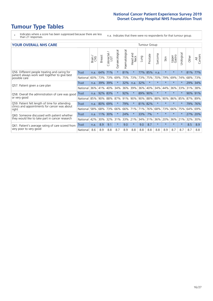# **Tumour Type Tables**

\* Indicates where a score has been suppressed because there are less than 21 responses.

n.a. Indicates that there were no respondents for that tumour group.

| <b>YOUR OVERALL NHS CARE</b>                                                                                     |          |       |               |            |                |                |                        |      | <b>Tumour Group</b> |         |         |                 |            |         |                |  |  |
|------------------------------------------------------------------------------------------------------------------|----------|-------|---------------|------------|----------------|----------------|------------------------|------|---------------------|---------|---------|-----------------|------------|---------|----------------|--|--|
|                                                                                                                  |          | Brain | <b>Breast</b> | Colorectal | Gynaecological | Haematological | ad and<br>Neck<br>Head | Lung | Prostate            | Sarcoma | Skin    | Upper<br>Gastro | Urological | Other   | All<br>Cancers |  |  |
| Q56. Different people treating and caring for<br>patient always work well together to give best<br>possible care | Trust    | n.a.  | 64%           | 71%        | $\star$        | 81%            | $\star$                | 77%  | 85%                 | n.a.    | $\star$ | $\star$         | $\star$    | 81%     | 77%            |  |  |
|                                                                                                                  | National | 60%   | 73%           | 73%        | 69%            | 75%            | 73%                    | 73%  | 75%                 | 70%     | 79%     | 69%             | 74%        | 68%     | 73%            |  |  |
| Q57. Patient given a care plan                                                                                   | Trust    | n.a.  | 39%           | 39%        |                | 32%            | n.a.                   | 32%  | $\star$             | $\star$ | $\star$ | $\star$         | $\star$    | 29%     | 34%            |  |  |
|                                                                                                                  | National | 36%   | 41%           | 40%        | 34%            | 36%            | 39%                    | 36%  | 40%                 | 34%     | 44%     | 36%             | 33%        | 31%     | 38%            |  |  |
| Q58. Overall the administration of care was good                                                                 | Trust    | n.a.  | 92%           | 83%        |                | 92%            | $\star$                | 89%  | 90%                 | $\star$ |         | $\star$         | $\star$    | 90% 91% |                |  |  |
| or very good                                                                                                     | National | 85%   | 90%           | 88%        | 87%            | 91%            | 90%                    | 90%  | 88%                 | 88%     | 90%     | 86%             | 85%        | 87%     | 89%            |  |  |
| Q59. Patient felt length of time for attending<br>clinics and appointments for cancer was about                  | Trust    | n.a.  | 80%           | 69%        |                | 79%            | $\star$                | 81%  | 82%                 | $\star$ | $\star$ | $\star$         | $\star$    | 79%     | 76%            |  |  |
| right                                                                                                            | National | 58%   | 68%           | 73%        | 66%            | 66%            | 71%                    | 71%  | 76%                 | 68%     | 73%     | 66%             | 75%        | 64%     | 69%            |  |  |
| Q60. Someone discussed with patient whether                                                                      | Trust    | n.a.  | 11%           | 30%        | $\star$        | 24%            | $\star$                | 33%  | 7%                  | $\star$ | $\star$ | $\star$         | $\star$    | 27%     | 20%            |  |  |
| they would like to take part in cancer research                                                                  | National | 42%   | 30%           | 32%        | 31%            | 33%            | 21%                    | 34%  | 31%                 | 36%     | 20%     | 36%             | 21%        | 32%     | 30%            |  |  |
| Q61. Patient's average rating of care scored from<br>very poor to very good                                      | Trust    | n.a.  | 8.9           | 9.1        | $\star$        | 9.0            | $\star$                | 9.0  | 8.7                 | $\star$ | 头       | $\star$         | ¥          | 8.5     | 8.9            |  |  |
|                                                                                                                  | National | 8.6   | 8.9           | 8.8        | 8.7            | 8.9            | 8.8                    | 8.8  | 8.8                 | 8.8     | 8.9     | 8.7             | 8.7        | 8.7     | 8.8            |  |  |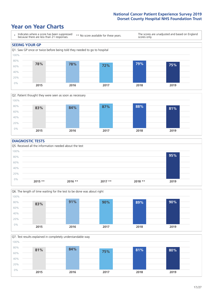### **Year on Year Charts**





#### **DIAGNOSTIC TESTS**





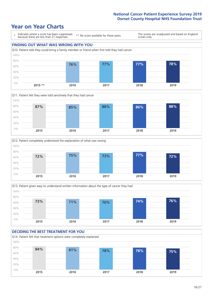### **Year on Year Charts**









#### **DECIDING THE BEST TREATMENT FOR YOU** Q14. Patient felt that treatment options were completely explained 0% 20% 40% 60% 80% 100% **2015 2016 2017 2018 2019 84% 81% 78% 78% 75%**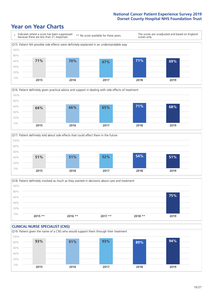





Q18. Patient definitely involved as much as they wanted in decisions about care and treatment  $0%$ 20% 40% 60% 80% 100% **2015 \*\* 2016 \*\* 2017 \*\* 2018 \*\* 2019 75%**

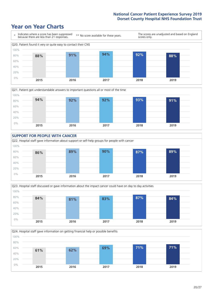







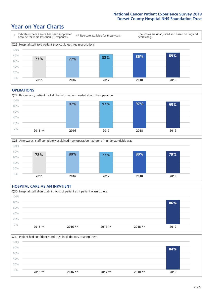### **Year on Year Charts**



#### **OPERATIONS**







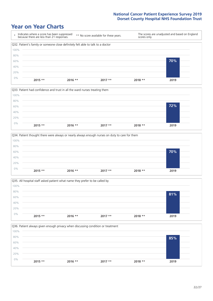







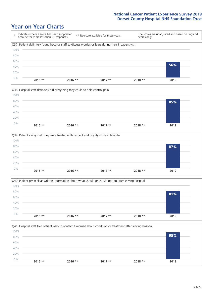







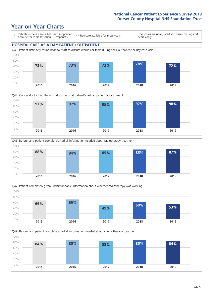







Q49. Beforehand patient completely had all information needed about chemotherapy treatment 0% 20% 40% 60% 80% 100% **2015 2016 2017 2018 2019 84% 85% 82% 85% 84%**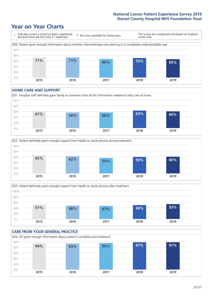### **Year on Year Charts**



#### **HOME CARE AND SUPPORT**







#### **CARE FROM YOUR GENERAL PRACTICE** Q54. GP given enough information about patient's condition and treatment 0% 20% 40% 60% 80% 100% **2015 2016 2017 2018 2019 94% 93% 95% 97% 97%**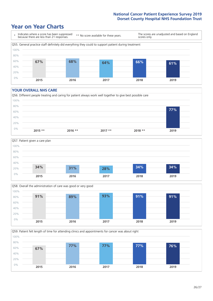### **Year on Year Charts**



#### **YOUR OVERALL NHS CARE**







Q59. Patient felt length of time for attending clinics and appointments for cancer was about right 0% 20% 40% 60% 80% 100% **2015 2016 2017 2018 2019 67% 77% 77% 77% 76%**